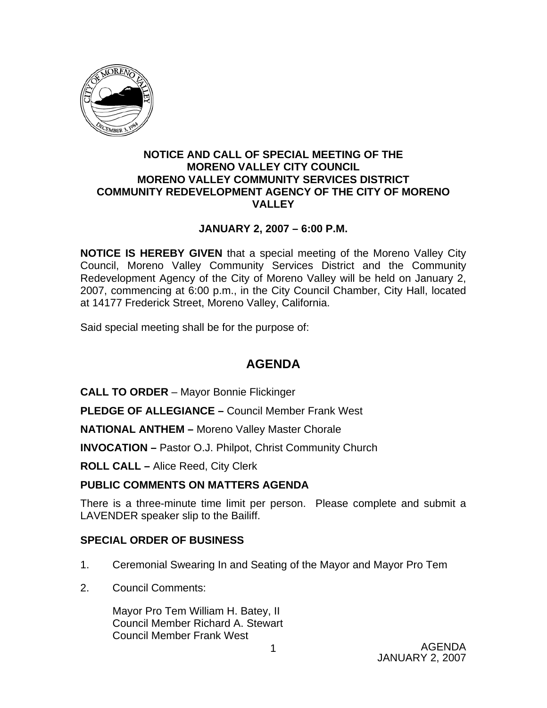

#### **NOTICE AND CALL OF SPECIAL MEETING OF THE MORENO VALLEY CITY COUNCIL MORENO VALLEY COMMUNITY SERVICES DISTRICT COMMUNITY REDEVELOPMENT AGENCY OF THE CITY OF MORENO VALLEY**

## **JANUARY 2, 2007 – 6:00 P.M.**

**NOTICE IS HEREBY GIVEN** that a special meeting of the Moreno Valley City Council, Moreno Valley Community Services District and the Community Redevelopment Agency of the City of Moreno Valley will be held on January 2, 2007, commencing at 6:00 p.m., in the City Council Chamber, City Hall, located at 14177 Frederick Street, Moreno Valley, California.

Said special meeting shall be for the purpose of:

## **AGENDA**

**CALL TO ORDER** – Mayor Bonnie Flickinger

**PLEDGE OF ALLEGIANCE –** Council Member Frank West

**NATIONAL ANTHEM –** Moreno Valley Master Chorale

**INVOCATION –** Pastor O.J. Philpot, Christ Community Church

**ROLL CALL –** Alice Reed, City Clerk

## **PUBLIC COMMENTS ON MATTERS AGENDA**

There is a three-minute time limit per person. Please complete and submit a LAVENDER speaker slip to the Bailiff.

#### **SPECIAL ORDER OF BUSINESS**

- 1. Ceremonial Swearing In and Seating of the Mayor and Mayor Pro Tem
- 2. Council Comments:

 Mayor Pro Tem William H. Batey, II Council Member Richard A. Stewart Council Member Frank West